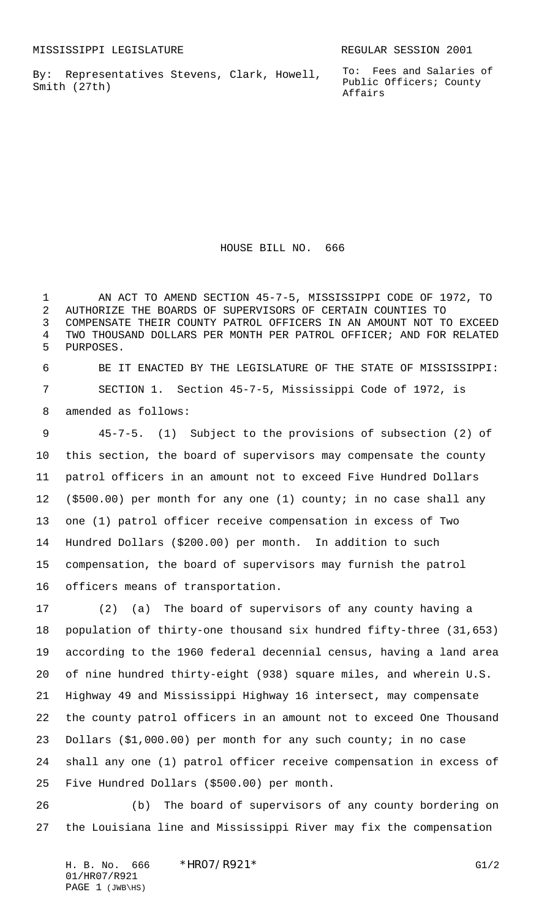By: Representatives Stevens, Clark, Howell, Smith (27th)

To: Fees and Salaries of Public Officers; County Affairs

HOUSE BILL NO. 666

 AN ACT TO AMEND SECTION 45-7-5, MISSISSIPPI CODE OF 1972, TO AUTHORIZE THE BOARDS OF SUPERVISORS OF CERTAIN COUNTIES TO COMPENSATE THEIR COUNTY PATROL OFFICERS IN AN AMOUNT NOT TO EXCEED TWO THOUSAND DOLLARS PER MONTH PER PATROL OFFICER; AND FOR RELATED PURPOSES.

 BE IT ENACTED BY THE LEGISLATURE OF THE STATE OF MISSISSIPPI: SECTION 1. Section 45-7-5, Mississippi Code of 1972, is amended as follows:

 45-7-5. (1) Subject to the provisions of subsection (2) of this section, the board of supervisors may compensate the county patrol officers in an amount not to exceed Five Hundred Dollars (\$500.00) per month for any one (1) county; in no case shall any one (1) patrol officer receive compensation in excess of Two Hundred Dollars (\$200.00) per month. In addition to such compensation, the board of supervisors may furnish the patrol officers means of transportation.

 (2) (a) The board of supervisors of any county having a population of thirty-one thousand six hundred fifty-three (31,653) according to the 1960 federal decennial census, having a land area of nine hundred thirty-eight (938) square miles, and wherein U.S. Highway 49 and Mississippi Highway 16 intersect, may compensate the county patrol officers in an amount not to exceed One Thousand Dollars (\$1,000.00) per month for any such county; in no case shall any one (1) patrol officer receive compensation in excess of Five Hundred Dollars (\$500.00) per month.

 (b) The board of supervisors of any county bordering on the Louisiana line and Mississippi River may fix the compensation

H. B. No. 666 \*HRO7/R921\* G1/2 01/HR07/R921 PAGE 1 (JWB\HS)